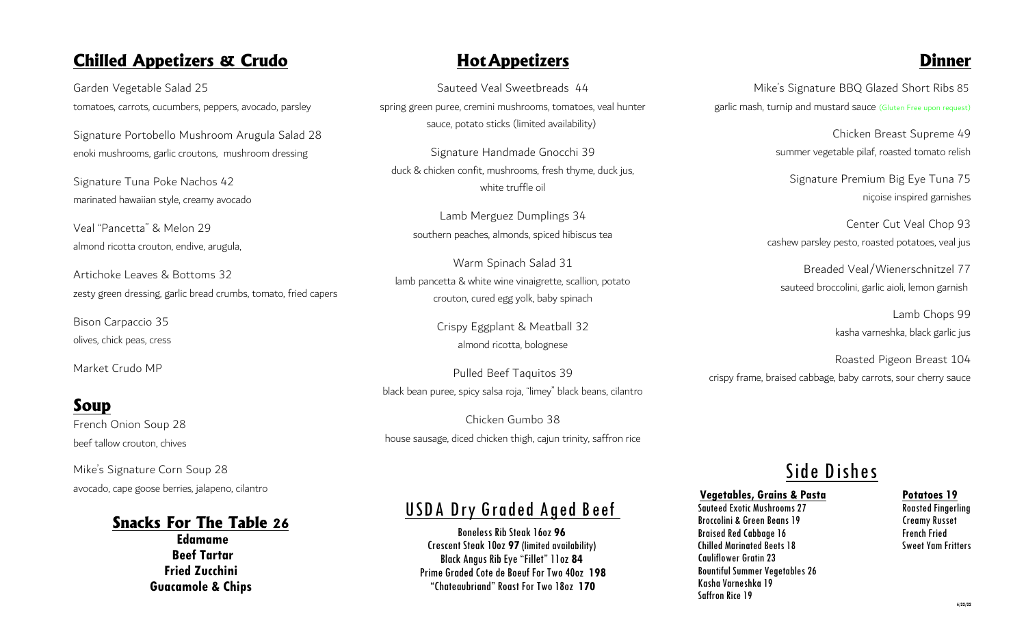#### *Chilled Appetizers & Crudo*

Garden Vegetable Salad 25 tomatoes, carrots, cucumbers, peppers, avocado, parsley

Signature Portobello Mushroom Arugula Salad 28 enoki mushrooms, garlic croutons, mushroom dressing

Signature Tuna Poke Nachos 42 marinated hawaiian style, creamy avocado

Veal "Pancetta" & Melon 29 almond ricotta crouton, endive, arugula,

Artichoke Leaves & Bottoms 32 zesty green dressing, garlic bread crumbs, tomato, fried capers

Bison Carpaccio 35 olives, chick peas, cress

Market Crudo MP

### *Soup*

French Onion Soup 28 beef tallow crouton, chives

Mike's Signature Corn Soup 28 avocado, cape goose berries, jalapeno, cilantro

#### *Snacks For The Table 26*

**Edamame Beef Tartar Fried Zucchini Guacamole & Chips** 

#### *HotAppetizers*

Sauteed Veal Sweetbreads 44 spring green puree, cremini mushrooms, tomatoes, veal hunter sauce, potato sticks (limited availability)

Signature Handmade Gnocchi 39 duck & chicken confit, mushrooms, fresh thyme, duck jus, white truffle oil

Lamb Merguez Dumplings 34 southern peaches, almonds, spiced hibiscus tea

Warm Spinach Salad 31 lamb pancetta & white wine vinaigrette, scallion, potato crouton, cured egg yolk, baby spinach

> Crispy Eggplant & Meatball 32 almond ricotta, bolognese

Pulled Beef Taquitos 39 black bean puree, spicy salsa roja, "limey" black beans, cilantro

Chicken Gumbo 38 house sausage, diced chicken thigh, cajun trinity, saffron rice

## *USDA Dry Graded Aged Beef*

Boneless Rib Steak 16oz **96** Crescent Steak 10oz **97** (limited availability) Black Angus Rib Eye "Fillet" 11oz **84** Prime Graded Cote de Boeuf For Two 40oz **198** "Chateaubriand" Roast For Two 18oz **170**

## *Dinner*

Mike's Signature BBQ Glazed Short Ribs 85 garlic mash, turnip and mustard sauce (Gluten Free upon request)

> Chicken Breast Supreme 49 summer vegetable pilaf, roasted tomato relish

Signature Premium Big Eye Tuna 75 niçoise inspired garnishes

Center Cut Veal Chop 93 cashew parsley pesto, roasted potatoes, veal jus

Breaded Veal/Wienerschnitzel 77 sauteed broccolini, garlic aioli, lemon garnish

> Lamb Chops 99 kasha varneshka, black garlic jus

Roasted Pigeon Breast 104 crispy frame, braised cabbage, baby carrots, sour cherry sauce

# *Side Dishes*

# **Vegetables, Grains & Pasta Potatoes 19**

Sauteed Exotic Mushrooms 27 Broccolini & Green Beans 19 Creamy Russet Braised Red Cabbage 16 Chilled Marinated Beets 18 Sweet Yam Fritters Cauliflower Gratin 23 Bountiful Summer Vegetables 26 Kasha Varneshka 19 Saffron Rice 19